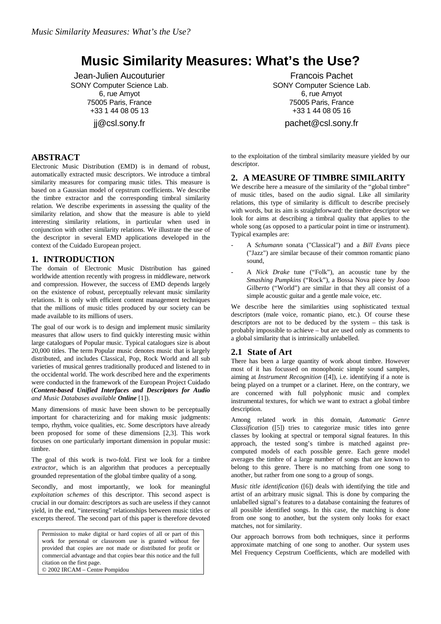# **Music Similarity Measures: What's the Use?**

Jean-Julien Aucouturier SONY Computer Science Lab. 6, rue Amyot 75005 Paris, France +33 1 44 08 05 13 jj@csl.sony.fr

# **ABSTRACT**

Electronic Music Distribution (EMD) is in demand of robust, automatically extracted music descriptors. We introduce a timbral similarity measures for comparing music titles. This measure is based on a Gaussian model of cepstrum coefficients. We describe the timbre extractor and the corresponding timbral similarity relation. We describe experiments in assessing the quality of the similarity relation, and show that the measure is able to yield interesting similarity relations, in particular when used in conjunction with other similarity relations. We illustrate the use of the descriptor in several EMD applications developed in the context of the Cuidado European project.

# **1. INTRODUCTION**

The domain of Electronic Music Distribution has gained worldwide attention recently with progress in middleware, network and compression. However, the success of EMD depends largely on the existence of robust, perceptually relevant music similarity relations. It is only with efficient content management techniques that the millions of music titles produced by our society can be made available to its millions of users.

The goal of our work is to design and implement music similarity measures that allow users to find quickly interesting music within large catalogues of Popular music. Typical catalogues size is about 20,000 titles. The term Popular music denotes music that is largely distributed, and includes Classical, Pop, Rock World and all sub varieties of musical genres traditionally produced and listened to in the occidental world. The work described here and the experiments were conducted in the framework of the European Project Cuidado (*Content-based Unified Interfaces and Descriptors for Audio and Music Databases available Online* [1]).

Many dimensions of music have been shown to be perceptually important for characterizing and for making music judgments: tempo, rhythm, voice qualities, etc. Some descriptors have already been proposed for some of these dimensions [2,3]. This work focuses on one particularly important dimension in popular music: timbre.

The goal of this work is two-fold. First we look for a timbre *extractor,* which is an algorithm that produces a perceptually grounded representation of the global timbre quality of a song.

Secondly, and most importantly, we look for meaningful *exploitation schemes* of this descriptor. This second aspect is crucial in our domain: descriptors as such are useless if they cannot yield, in the end, "interesting" relationships between music titles or excerpts thereof. The second part of this paper is therefore devoted

Permission to make digital or hard copies of all or part of this work for personal or classroom use is granted without fee provided that copies are not made or distributed for profit or commercial advantage and that copies bear this notice and the full citation on the first page. © 2002 IRCAM – Centre Pompidou

Francois Pachet SONY Computer Science Lab. 6, rue Amyot 75005 Paris, France +33 1 44 08 05 16

pachet@csl.sony.fr

to the exploitation of the timbral similarity measure yielded by our descriptor.

# **2. A MEASURE OF TIMBRE SIMILARITY**

We describe here a measure of the similarity of the "global timbre" of music titles, based on the audio signal. Like all similarity relations, this type of similarity is difficult to describe precisely with words, but its aim is straightforward: the timbre descriptor we look for aims at describing a timbral quality that applies to the whole song (as opposed to a particular point in time or instrument). Typical examples are:

- A *Schumann* sonata ("Classical") and a *Bill Evans* piece ("Jazz") are similar because of their common romantic piano sound,
- A *Nick Drake* tune ("Folk"), an acoustic tune by the *Smashing Pumpkins* ("Rock"), a Bossa Nova piece by *Joao Gilberto* ("World") are similar in that they all consist of a simple acoustic guitar and a gentle male voice, etc.

We describe here the similarities using sophisticated textual descriptors (male voice, romantic piano, etc.). Of course these descriptors are not to be deduced by the system – this task is probably impossible to achieve – but are used only as comments to a global similarity that is intrinsically unlabelled.

# **2.1 State of Art**

There has been a large quantity of work about timbre. However most of it has focussed on monophonic simple sound samples, aiming at *Instrument Recognition* ([4]), i.e. identifying if a note is being played on a trumpet or a clarinet. Here, on the contrary, we are concerned with full polyphonic music and complex instrumental textures, for which we want to extract a global timbre description.

Among related work in this domain, *Automatic Genre Classification* ([5]) tries to categorize music titles into genre classes by looking at spectral or temporal signal features. In this approach, the tested song's timbre is matched against precomputed models of each possible genre. Each genre model averages the timbre of a large number of songs that are known to belong to this genre. There is no matching from one song to another, but rather from one song to a group of songs.

*Music title identification* ([6]) deals with identifying the title and artist of an arbitrary music signal. This is done by comparing the unlabelled signal's features to a database containing the features of all possible identified songs. In this case, the matching is done from one song to another, but the system only looks for exact matches, not for similarity.

Our approach borrows from both techniques, since it performs approximate matching of one song to another. Our system uses Mel Frequency Cepstrum Coefficients, which are modelled with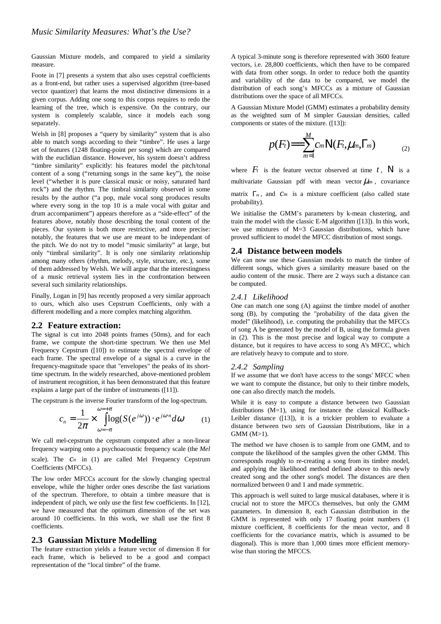Gaussian Mixture models, and compared to yield a similarity measure.

Foote in [7] presents a system that also uses cepstral coefficients as a front-end, but rather uses a supervised algorithm (tree-based vector quantizer) that learns the most distinctive dimensions in a given corpus. Adding one song to this corpus requires to redo the learning of the tree, which is expensive. On the contrary, our system is completely scalable, since it models each song separately.

Welsh in [8] proposes a "query by similarity" system that is also able to match songs according to their "timbre". He uses a large set of features (1248 floating-point per song) which are compared with the euclidian distance. However, his system doesn't address "timbre similarity" explicitly: his features model the pitch/tonal content of a song ("returning songs in the same key"), the noise level ("whether it is pure classical music or noisy, saturated hard rock") and the rhythm. The timbral similarity observed in some results by the author ("a pop, male vocal song produces results where every song in the top 10 is a male vocal with guitar and drum accompaniment") appears therefore as a "side-effect" of the features above, notably those describing the tonal content of the pieces. Our system is both more restrictive, and more precise: notably, the features that we use are meant to be independant of the pitch. We do not try to model "music similarity" at large, but only "timbral similarity". It is only one similarity relationship among many others (rhythm, melody, style, structure, etc.), some of them addressed by Welsh. We will argue that the interestingness of a music retrieval system lies in the confrontation between several such similarity relationships.

Finally, Logan in [9] has recently proposed a very similar approach to ours, which also uses Cepstrum Coefficients, only with a different modelling and a more complex matching algorithm.

#### **2.2 Feature extraction:**

The signal is cut into 2048 points frames (50ms), and for each frame, we compute the short-time spectrum. We then use Mel Frequency Cepstrum ([10]) to estimate the spectral envelope of each frame. The spectral envelope of a signal is a curve in the frequency-magnitude space that "envelopes" the peaks of its shorttime spectrum. In the widely researched, above-mentioned problem of instrument recognition, it has been demonstrated that this feature explains a large part of the timbre of instruments ([11]).

The cepstrum is the inverse Fourier transform of the log-spectrum.

$$
c_n = \frac{1}{2\pi} \times \int_{\omega=-\pi}^{\omega=\pi} \log(S(e^{j\omega})) \cdot e^{j\omega \cdot n} d\omega \qquad (1)
$$

We call mel-cepstrum the cepstrum computed after a non-linear frequency warping onto a psychoacoustic frequency scale (the *Mel*

scale). The *c<sup>n</sup>* in (1) are called Mel Frequency Cepstrum Coefficients (MFCCs).

The low order MFCCs account for the slowly changing spectral envelope, while the higher order ones describe the fast variations of the spectrum. Therefore, to obtain a timbre measure that is independent of pitch, we only use the first few coefficients. In [12], we have measured that the optimum dimension of the set was around 10 coefficients. In this work, we shall use the first 8 coefficients.

#### **2.3 Gaussian Mixture Modelling**

The feature extraction yields a feature vector of dimension 8 for each frame, which is believed to be a good and compact representation of the "local timbre" of the frame.

A typical 3-minute song is therefore represented with 3600 feature vectors, i.e. 28,800 coefficients, which then have to be compared with data from other songs. In order to reduce both the quantity and variability of the data to be compared, we model the distribution of each song's MFCCs as a mixture of Gaussian distributions over the space of all MFCCs.

A Gaussian Mixture Model (GMM) estimates a probability density as the weighted sum of M simpler Gaussian densities, called components or states of the mixture. ([13]):

$$
p(F_t)=\sum_{m=1}^M c_m N(F_t,\mu_m,\Gamma_m) \qquad \qquad (2)
$$

where  $F_t$  is the feature vector observed at time  $t$ , N is a multivariate Gaussian pdf with mean vector  $\mu_m$ , covariance matrix Γ*<sup>m</sup>* , and *c<sup>m</sup>* is a mixture coefficient (also called state

We initialise the GMM's parameters by k-mean clustering, and train the model with the classic E-M algorithm ([13]). In this work, we use mixtures of M=3 Gaussian distributions, which have proved sufficient to model the MFCC distribution of most songs.

#### **2.4 Distance between models**

We can now use these Gaussian models to match the timbre of different songs, which gives a similarity measure based on the audio content of the music. There are 2 ways such a distance can be computed.

### *2.4.1 Likelihood*

probability).

One can match one song (A) against the timbre model of another song (B), by computing the "probability of the data given the model" (likelihood), i.e. computing the probability that the MFCCs of song A be generated by the model of B, using the formula given in (2). This is the most precise and logical way to compute a distance, but it requires to have access to song A's MFCC, which are relatively heavy to compute and to store.

#### *2.4.2 Sampling*

If we assume that we don't have access to the songs' MFCC when we want to compute the distance, but only to their timbre models, one can also directly match the models.

While it is easy to compute a distance between two Gaussian distributions  $(M=1)$ , using for instance the classical Kullback-Leibler distance ([13]), it is a trickier problem to evaluate a distance between two *sets* of Gaussian Distributions, like in a GMM (M>1).

The method we have chosen is to sample from one GMM, and to compute the likelihood of the samples given the other GMM. This corresponds roughly to re-creating a song from its timbre model, and applying the likelihood method defined above to this newly created song and the other song's model. The distances are then normalized between 0 and 1 and made symmetric.

This approach is well suited to large musical databases, where it is crucial not to store the MFCCs themselves, but only the GMM parameters. In dimension 8, each Gaussian distribution in the GMM is represented with only 17 floating point numbers (1 mixture coefficient, 8 coefficients for the mean vector, and 8 coefficients for the covariance matrix, which is assumed to be diagonal). This is more than 1,000 times more efficient memorywise than storing the MFCCS.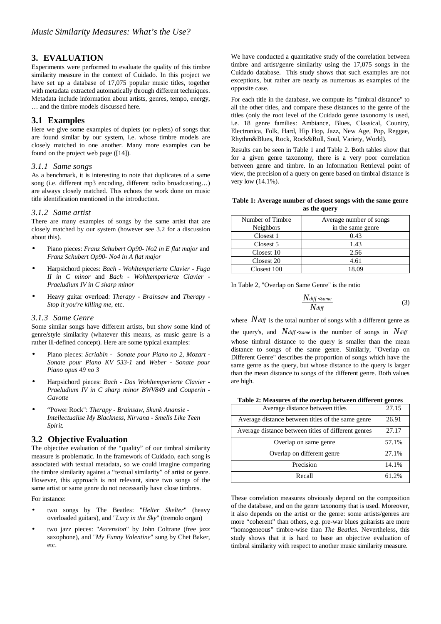## **3. EVALUATION**

Experiments were performed to evaluate the quality of this timbre similarity measure in the context of Cuidado. In this project we have set up a database of 17,075 popular music titles, together with metadata extracted automatically through different techniques. Metadata include information about artists, genres, tempo, energy, … and the timbre models discussed here.

## **3.1 Examples**

Here we give some examples of duplets (or n-plets) of songs that are found similar by our system, i.e. whose timbre models are closely matched to one another. Many more examples can be found on the project web page ([14]).

#### *3.1.1 Same songs*

As a benchmark, it is interesting to note that duplicates of a same song (i.e. different mp3 encoding, different radio broadcasting…) are always closely matched. This echoes the work done on music title identification mentioned in the introduction.

#### *3.1.2 Same artist*

There are many examples of songs by the same artist that are closely matched by our system (however see 3.2 for a discussion about this).

- Piano pieces: *Franz Schubert Op90- No2 in E flat major* and *Franz Schubert Op90- No4 in A flat major*
- Harpsichord pieces: *Bach - Wohltemperierte Clavier - Fuga II in C minor* and *Bach - Wohltemperierte Clavier - Praeludium IV in C sharp minor*
- Heavy guitar overload: *Therapy - Brainsaw* and *Therapy - Stop it you're killing me*, etc.

#### *3.1.3 Same Genre*

Some similar songs have different artists, but show some kind of genre/style similarity (whatever this means, as music genre is a rather ill-defined concept). Here are some typical examples:

- Piano pieces: *Scriabin - Sonate pour Piano no 2*, *Mozart - Sonate pour Piano KV 533-1* and *Weber - Sonate pour Piano opus 49 no 3*
- Harpsichord pieces: *Bach - Das Wohltemperierte Clavier - Praeludium IV in C sharp minor BWV849* and *Couperin - Gavotte*
- "Power Rock": *Therapy - Brainsaw*, *Skunk Anansie - Intellectualise My Blackness*, *Nirvana - Smells Like Teen Spirit.*

### **3.2 Objective Evaluation**

The objective evaluation of the "quality" of our timbral similarity measure is problematic. In the framework of Cuidado, each song is associated with textual metadata, so we could imagine comparing the timbre similarity against a "textual similarity" of artist or genre. However, this approach is not relevant, since two songs of the same artist or same genre do not necessarily have close timbres.

For instance:

- two songs by The Beatles: "*Helter Skelter*" (heavy overloaded guitars), and "*Lucy in the Sky*" (tremolo organ)
- two jazz pieces: "*Ascension*" by John Coltrane (free jazz saxophone), and "*My Funny Valentine*" sung by Chet Baker, etc.

We have conducted a quantitative study of the correlation between timbre and artist/genre similarity using the 17,075 songs in the Cuidado database. This study shows that such examples are not exceptions, but rather are nearly as numerous as examples of the opposite case.

For each title in the database, we compute its "timbral distance" to all the other titles, and compare these distances to the genre of the titles (only the root level of the Cuidado genre taxonomy is used, i.e. 18 genre families: Ambiance, Blues, Classical, Country, Electronica, Folk, Hard, Hip Hop, Jazz, New Age, Pop, Reggae, Rhythm&Blues, Rock, Rock&Roll, Soul, Variety, World).

Results can be seen in Table 1 and Table 2. Both tables show that for a given genre taxonomy, there is a very poor correlation between genre and timbre. In an Information Retrieval point of view, the precision of a query on genre based on timbral distance is very low (14.1%).

#### **Table 1: Average number of closest songs with the same genre as the query**

| Number of Timbre | Average number of songs |  |  |
|------------------|-------------------------|--|--|
| <b>Neighbors</b> | in the same genre       |  |  |
| Closest 1        | 0.43                    |  |  |
| Closest 5        | 1.43                    |  |  |
| Closest 10       | 2.56                    |  |  |
| Closest 20       | 4.61                    |  |  |
| Closest 100      | 18.09                   |  |  |

In Table 2, "Overlap on Same Genre" is the ratio

$$
\frac{N_{\text{diff}}<\text{same}}{N_{\text{diff}}}
$$
\n(3)

where *Ndiff* is the total number of songs with <sup>a</sup> different genre as

the query's, and  $N_{diff}$  < same is the number of songs in  $N_{diff}$ whose timbral distance to the query is smaller than the mean distance to songs of the same genre. Similarly, "Overlap on Different Genre" describes the proportion of songs which have the same genre as the query, but whose distance to the query is larger than the mean distance to songs of the different genre. Both values are high.

**Table 2: Measures of the overlap between different genres**

| Average distance between titles                     | 27.15 |
|-----------------------------------------------------|-------|
| Average distance between titles of the same genre   | 26.91 |
| Average distance between titles of different genres | 27.17 |
| Overlap on same genre                               | 57.1% |
| Overlap on different genre                          | 27.1% |
| Precision                                           | 14.1% |
| Recall                                              | 61.2% |

These correlation measures obviously depend on the composition of the database, and on the genre taxonomy that is used. Moreover, it also depends on the artist or the genre: some artists/genres are more "coherent" than others, e.g. pre-war blues guitarists are more "homogeneous" timbre-wise than *The Beatles.* Nevertheless, this study shows that it is hard to base an objective evaluation of timbral similarity with respect to another music similarity measure.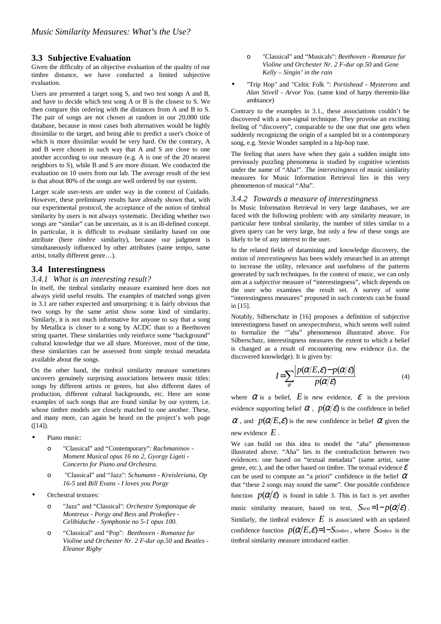# **3.3 Subjective Evaluation**

Given the difficulty of an objective evaluation of the quality of our timbre distance, we have conducted a limited subjective evaluation.

Users are presented a target song S, and two test songs A and B, and have to decide which test song A or B is the closest to S. We then compare this ordering with the distances from A and B to S. The pair of songs are not chosen at random in our 20,000 title database, because in most cases both alternatives would be highly dissimilar to the target, and being able to predict a user's choice of which is more dissimilar would be very hard. On the contrary, A and B were chosen in such way that A and S are close to one another according to our measure (e.g. A is one of the 20 nearest neighbors to S), while B and S are more distant. We conducted the evaluation on 10 users from our lab. The average result of the test is that about 80% of the songs are well ordered by our system.

Larger scale user-tests are under way in the context of Cuidado. However, these preliminary results have already shown that, with our experimental protocol, the acceptance of the notion of timbral similarity by users is not always systematic. Deciding whether two songs are "similar" can be uncertain, as it is an ill-defined concept. In particular, it is difficult to evaluate similarity based on one attribute (here *timbre* similarity), because our judgment is simultaneously influenced by other attributes (same tempo, same artist, totally different genre…).

## **3.4 Interestingness**

### *3.4.1 What is an interesting result?*

In itself, the timbral similarity measure examined here does not always yield useful results. The examples of matched songs given in 3.1 are rather expected and unsurprising: it is fairly obvious that two songs by the same artist show some kind of similarity. Similarly, it is not much informative for anyone to say that a song by Metallica is closer to a song by ACDC than to a Beethoven string quartet. These similarities only reinforce some "background" cultural knowledge that we all share. Moreover, most of the time, these similarities can be assessed from simple textual metadata available about the songs.

On the other hand, the timbral similarity measure sometimes uncovers genuinely surprising associations between music titles: songs by different artists or genres, but also different dates of production, different cultural backgrounds, etc. Here are some examples of such songs that are found similar by our system, i.e. whose timbre models are closely matched to one another. These, and many more, can again be heard on the project's web page ([14]).

- Piano music:
	- o "Classical" and "Contemporary": *Rachmaninov - Moment Musical opus 16 no 2*, *Gyorgy Ligeti - Concerto for Piano and Orchestra.*
	- o "Classical" and "Jazz": *Schumann - Kreisleriana, Op 16-5* and *Bill Evans - I loves you Porgy*
- Orchestral textures:
	- o "Jazz" and "Classical": *Orchestre Symponique de Montreux - Porgy and Bess* and *Prokofiev - Celibidache - Symphonie no 5-1 opus 100.*
	- o "Classical" and "Pop": *Beethoven - Romanze fur Violine und Orchester Nr. 2 F-dur op.50* and *Beatles - Eleanor Rigby*
- o "Classical" and "Musicals": *Beethoven - Romanze fur Violine und Orchester Nr. 2 F-dur op.50* and *Gene Kelly – Singin' in the rain*
- "Trip Hop" and "Celtic Folk ": *Portishead - Mysterons* and *Alan Stivell - Arvor You*. (same kind of harpy theremin-like ambiance)

Contrary to the examples in 3.1., these associations couldn't be discovered with a non-signal technique. They provoke an exciting feeling of "discovery", comparable to the one that one gets when suddenly recognizing the origin of a sampled bit in a contemporary song, e.g. Stevie Wonder sampled in a hip-hop tune.

The feeling that users have when they gain a sudden insight into previously puzzling phenomena is studied by cognitive scientists under the name of "Aha!". The *interestingness* of music similarity measures for Music Information Retrieval lies in this very phenomenon of musical "Aha".

### *3.4.2 Towards a measure of interestingness*

In Music Information Retrieval in very large databases, we are faced with the following problem: with any similarity measure, in particular here timbral similarity, the number of titles similar to a given query can be very large, but only a few of these songs are likely to be of any interest to the user.

In the related fields of datamining and knowledge discovery, the notion of *interestingness* has been widely researched in an attempt to increase the utility, relevance and usefulness of the patterns generated by such techniques. In the context of music, we can only aim at a *subjective* measure of "interestingness", which depends on the user who examines the result set. A survey of some "interestingness measures" proposed in such contexts can be found in [15].

Notably, Silberschatz in [16] proposes a definition of subjective interestingness based on *unexpectedness*, which seems well suited to formalize the '"aha" phenomenon illustrated above. For Silberschatz, interestingness measures the extent to which a belief is changed as a result of encountering new evidence (i.e. the discovered knowledge). It is given by:

$$
I = \sum_{\alpha} \frac{\left| p(\alpha/E, \varepsilon) - p(\alpha/\varepsilon) \right|}{p(\alpha/\varepsilon)}
$$
(4)

where  $\alpha$  is a belief,  $E$  is new evidence,  $\varepsilon$  is the previous evidence supporting belief  $\alpha$ ,  $p(\alpha/\varepsilon)$  is the confidence in belief  $\alpha$ , and  $p(\alpha/E, \varepsilon)$  is the new confidence in belief  $\alpha$  given the new evidence *E* .

We can build on this idea to model the "aha" phenomenon illustrated above. "Aha" lies in the contradiction between two evidences: one based on "textual metadata" (same artist, same genre, etc.), and the other based on timbre. The textual evidence  $\mathcal E$ can be used to compute an "a priori" confidence in the belief  $\alpha$ that "these 2 songs may sound the same". One possible confidence function  $p(\alpha/\varepsilon)$  is found in table 3. This in fact is yet another music similarity measure, based on text,  $S_{text}=1-p(\alpha/\varepsilon)$ . Similarly, the timbral evidence  $E$  is associated with an updated confidence function  $p(\alpha/E, \varepsilon) = 1 - S$ *timbre*, where  $S$ *timbre* is the timbral similarity measure introduced earlier.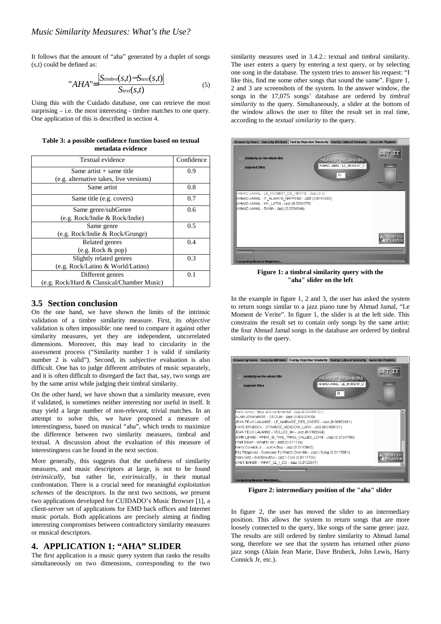It follows that the amount of "aha" generated by a duplet of songs (s,t) could be defined as:

$$
"AHA" = \frac{|S_{timbre}(s,t) - S_{text}(s,t)|}{S_{text}(s,t)}
$$
(5)

Using this with the Cuidado database, one can retrieve the most surprising – i.e. the most interesting - timbre matches to one query. One application of this is described in section 4.

|                   |  | Table 3: a possible confidence function based on textual |  |  |  |  |  |  |
|-------------------|--|----------------------------------------------------------|--|--|--|--|--|--|
| metadata evidence |  |                                                          |  |  |  |  |  |  |

| Textual evidence                           | Confidence |  |  |
|--------------------------------------------|------------|--|--|
| Same artist $+$ same title                 | 0.9        |  |  |
| (e.g. alternative takes, live versions)    |            |  |  |
| Same artist                                | 0.8        |  |  |
| Same title (e.g. covers)                   | 0.7        |  |  |
| Same genre/subGenre                        | 0.6        |  |  |
| (e.g. Rock/Indie & Rock/Indie)             |            |  |  |
| Same genre                                 | 0.5        |  |  |
| (e.g. Rock/Indie & Rock/Grunge)            |            |  |  |
| Related genres                             | 0.4        |  |  |
| (e.g. Rock & pop)                          |            |  |  |
| Slightly related genres                    | 0.3        |  |  |
| (e.g. Rock/Latino & World/Latino)          |            |  |  |
| Different genres                           | 0.1        |  |  |
| (e.g. Rock/Hard & Classical/Chamber Music) |            |  |  |

## **3.5 Section conclusion**

On the one hand, we have shown the limits of the intrinsic validation of a timbre similarity measure. First, its *objective* validation is often impossible: one need to compare it against other similarity measures, yet they are independent, uncorrelated dimensions. Moreover, this may lead to circularity in the assessment process ("Similarity number 1 is valid if similarity number 2 is valid"). Second, its *subjective* evaluation is also difficult. One has to judge different attributes of music separately, and it is often difficult to disregard the fact that, say, two songs are by the same artist while judging their timbral similarity.

On the other hand, we have shown that a similarity measure, even if validated, is sometimes neither interesting nor useful in itself. It may yield a large number of non-relevant, trivial matches. In an attempt to solve this, we have proposed a measure of interestingness, based on musical "aha", which tends to maximize the difference between two similarity measures, timbral and textual. A discussion about the evaluation of this measure of interestingness can be found in the next section.

More generally, this suggests that the usefulness of similarity measures, and music descriptors at large, is not to be found *intrinsically*, but rather lie, *extrinsically*, in their mutual confrontation. There is a crucial need for meaningful *exploitation schemes* of the descriptors. In the next two sections, we present two applications developed for CUIDADO's Music Browser [1], a client-server set of applications for EMD back offices and Internet music portals. Both applications are precisely aiming at finding interesting compromises between contradictory similarity measures or musical descriptors.

# **4. APPLICATION 1: "AHA" SLIDER**

The first application is a music query system that ranks the results simultaneously on two dimensions, corresponding to the two similarity measures used in 3.4.2.: textual and timbral similarity. The user enters a query by entering a text query, or by selecting one song in the database. The system tries to answer his request: "I like this, find me some other songs that sound the same". Figure 1, 2 and 3 are screenshots of the system. In the answer window, the songs in the 17,075 songs' database are ordered by *timbral similarity* to the query. Simultaneously, a slider at the bottom of the window allows the user to filter the result set in real time, according to the *textual similarity* to the query.



**Figure 1: a timbral similarity query with the "aha" slider on the left**

In the example in figure 1, 2 and 3, the user has asked the system to return songs similar to a jazz piano tune by Ahmad Jamal, "Le Moment de Verite". In figure 1, the slider is at the left side. This constrains the result set to contain only songs by the same artist: the four Ahmad Jamal songs in the database are ordered by timbral similarity to the query.



**Figure 2: intermediary position of the "aha" slider**

In figure 2, the user has moved the slider to an intermediary position. This allows the system to return songs that are more loosely connected to the query, like songs of the same genre: jazz. The results are still ordered by timbre similarity to Ahmad Jamal song, therefore we see that the system has returned other *piano* jazz songs (Alain Jean Marie, Dave Brubeck, John Lewis, Harry Connick Jr, etc.).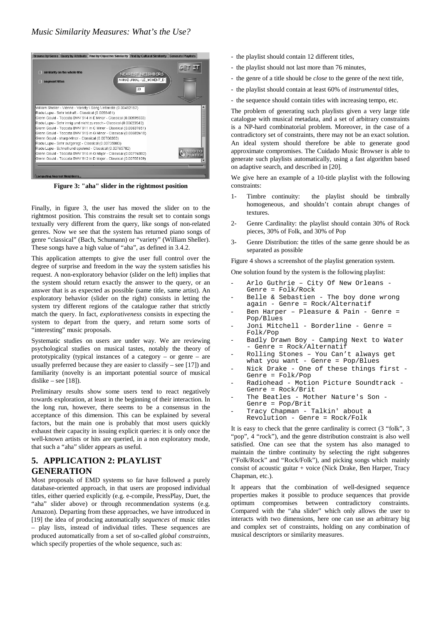

**Figure 3: "aha" slider in the rightmost position**

Finally, in figure 3, the user has moved the slider on to the rightmost position. This constrains the result set to contain songs textually very different from the query, like songs of non-related genres. Now we see that the system has returned piano songs of genre "classical" (Bach, Schumann) or "variety" (William Sheller). These songs have a high value of "aha", as defined in 3.4.2.

This application attempts to give the user full control over the degree of surprise and freedom in the way the system satisfies his request. A non-exploratory behavior (slider on the left) implies that the system should return exactly the answer to the query, or an answer that is as expected as possible (same title, same artist). An exploratory behavior (slider on the right) consists in letting the system try different regions of the catalogue rather that strictly match the query. In fact, *explorativeness* consists in expecting the system to depart from the query, and return some sorts of "interesting" music proposals.

Systematic studies on users are under way. We are reviewing psychological studies on musical tastes, notably the theory of prototypicality (typical instances of a category – or genre – are usually preferred because they are easier to classify – see [17]) and familiarity (novelty is an important potential source of musical dislike – see  $[18]$ ).

Preliminary results show some users tend to react negatively towards exploration, at least in the beginning of their interaction. In the long run, however, there seems to be a consensus in the acceptance of this dimension. This can be explained by several factors, but the main one is probably that most users quickly exhaust their capacity in issuing explicit queries: it is only once the well-known artists or hits are queried, in a non exploratory mode, that such a "aha" slider appears as useful.

# **5. APPLICATION 2: PLAYLIST GENERATION**

Most proposals of EMD systems so far have followed a purely database-oriented approach, in that users are proposed individual titles, either queried explicitly (e.g. e-compile, PressPlay, Duet, the "aha" slider above) or through recommendation systems (e.g. Amazon). Departing from these approaches, we have introduced in [19] the idea of producing automatically *sequences* of music titles – play lists, instead of individual titles. These sequences are produced automatically from a set of so-called *global constraints*, which specify properties of the whole sequence, such as:

- the playlist should contain 12 different titles,
- the playlist should not last more than 76 minutes,
- the genre of a title should be *close* to the genre of the next title,
- the playlist should contain at least 60% of *instrumental* titles,
- the sequence should contain titles with increasing tempo, etc.

The problem of generating such playlists given a very large title catalogue with musical metadata, and a set of arbitrary constraints is a NP-hard combinatorial problem. Moreover, in the case of a contradictory set of constraints, there may not be an exact solution. An ideal system should therefore be able to generate good approximate compromises. The Cuidado Music Browser is able to generate such playlists automatically, using a fast algorithm based on adaptive search, and described in [20].

We give here an example of a 10-title playlist with the following constraints:

- 1- Timbre continuity: the playlist should be timbrally homogeneous, and shouldn't contain abrupt changes of textures.
- 2- Genre Cardinality: the playlist should contain 30% of Rock pieces, 30% of Folk, and 30% of Pop
- 3- Genre Distribution: the titles of the same genre should be as separated as possible

Figure 4 shows a screenshot of the playlist generation system.

One solution found by the system is the following playlist:

- Arlo Guthrie City Of New Orleans -Genre = Folk/Rock
- Belle & Sebastien The boy done wrong again - Genre = Rock/Alternatif
- Ben Harper Pleasure & Pain Genre = Pop/Blues
- Joni Mitchell Borderline Genre = Folk/Pop
- Badly Drawn Boy Camping Next to Water Genre = Rock/Alternatif
- Rolling Stones You Can't always get
- what you want Genre = Pop/Blues Nick Drake - One of these things first -
- Genre = Folk/Pop - Radiohead - Motion Picture Soundtrack -
- Genre = Rock/Brit The Beatles - Mother Nature's Son -Genre = Pop/Brit
- Tracy Chapman Talkin' about a
- Revolution Genre = Rock/Folk

It is easy to check that the genre cardinality is correct (3 "folk", 3 "pop", 4 "rock"), and the genre distribution constraint is also well satisfied. One can see that the system has also managed to maintain the timbre continuity by selecting the right subgenres ("Folk/Rock" and "Rock/Folk"), and picking songs which mainly consist of acoustic guitar + voice (Nick Drake, Ben Harper, Tracy Chapman, etc.).

It appears that the combination of well-designed sequence properties makes it possible to produce sequences that provide optimum compromises between contradictory constraints. Compared with the "aha slider" which only allows the user to interacts with two dimensions, here one can use an arbitrary big and complex set of constraints, holding on any combination of musical descriptors or similarity measures.